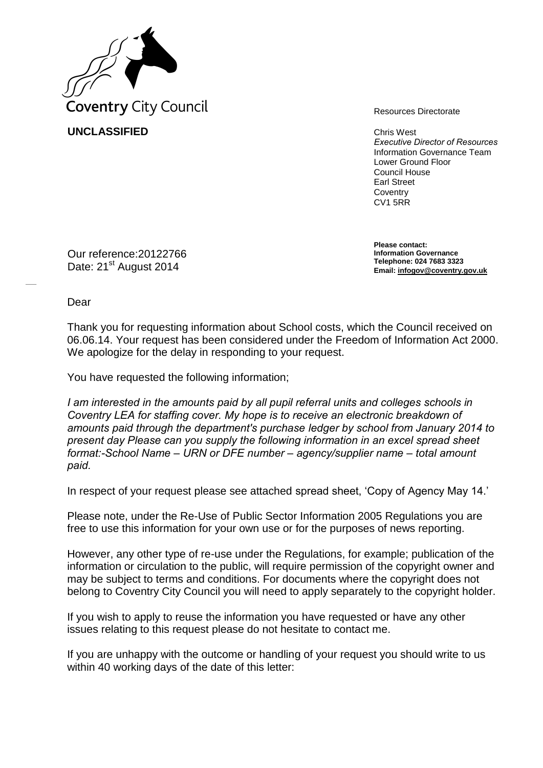

**UNCLASSIFIED** Chris West

*Executive Director of Resources* Information Governance Team Lower Ground Floor Council House Earl Street **Coventry** CV1 5RR

**Please contact: Information Governance Telephone: 024 7683 3323 Email: [infogov@coventry.gov.uk](mailto:infogov@coventry.gov.uk)**

Our reference:20122766 Date: 21<sup>st</sup> August 2014

Dear

Thank you for requesting information about School costs, which the Council received on 06.06.14. Your request has been considered under the Freedom of Information Act 2000. We apologize for the delay in responding to your request.

You have requested the following information;

*I am interested in the amounts paid by all pupil referral units and colleges schools in Coventry LEA for staffing cover. My hope is to receive an electronic breakdown of amounts paid through the department's purchase ledger by school from January 2014 to present day Please can you supply the following information in an excel spread sheet format:-School Name – URN or DFE number – agency/supplier name – total amount paid.* 

In respect of your request please see attached spread sheet, 'Copy of Agency May 14.'

Please note, under the Re-Use of Public Sector Information 2005 Regulations you are free to use this information for your own use or for the purposes of news reporting.

However, any other type of re-use under the Regulations, for example; publication of the information or circulation to the public, will require permission of the copyright owner and may be subject to terms and conditions. For documents where the copyright does not belong to Coventry City Council you will need to apply separately to the copyright holder.

If you wish to apply to reuse the information you have requested or have any other issues relating to this request please do not hesitate to contact me.

If you are unhappy with the outcome or handling of your request you should write to us within 40 working days of the date of this letter: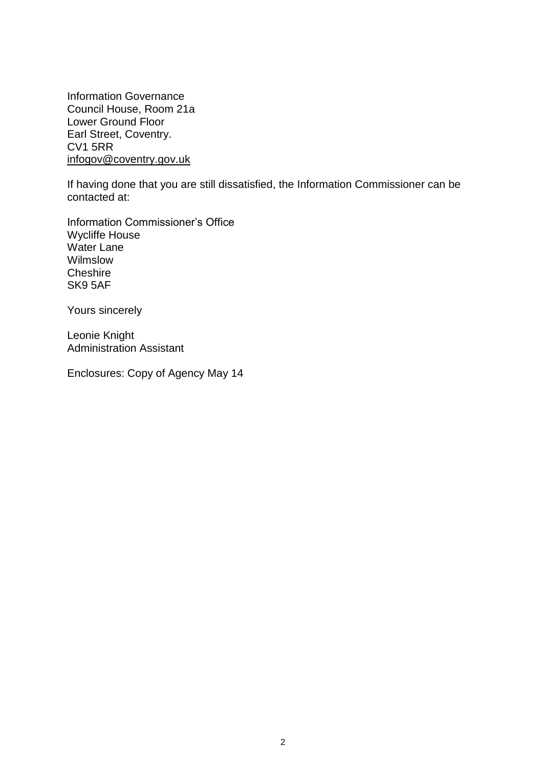Information Governance Council House, Room 21a Lower Ground Floor Earl Street, Coventry. CV1 5RR [infogov@coventry.gov.uk](mailto:infogov@coventry.gov.uk)

If having done that you are still dissatisfied, the Information Commissioner can be contacted at:

Information Commissioner's Office Wycliffe House Water Lane Wilmslow **Cheshire** SK9 5AF

Yours sincerely

Leonie Knight Administration Assistant

Enclosures: Copy of Agency May 14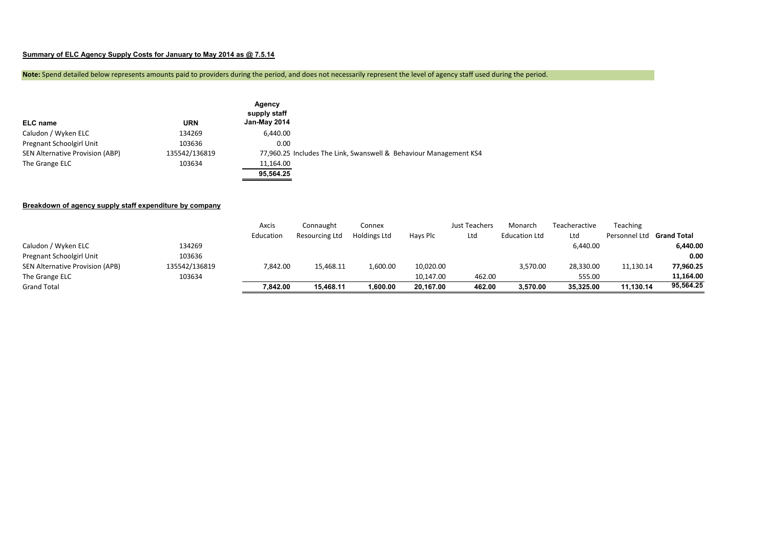#### **Summary of ELC Agency Supply Costs for January to May 2014 as @ 7.5.14**

### Note: Spend detailed below represents amounts paid to providers during the period, and does not necessarily represent the level of agency staff used during the period.

|                                        |               | Agency<br>supply staff |                                                                   |
|----------------------------------------|---------------|------------------------|-------------------------------------------------------------------|
| <b>ELC</b> name                        | <b>URN</b>    | Jan-May 2014           |                                                                   |
| Caludon / Wyken ELC                    | 134269        | 6.440.00               |                                                                   |
| Pregnant Schoolgirl Unit               | 103636        | 0.00                   |                                                                   |
| <b>SEN Alternative Provision (ABP)</b> | 135542/136819 |                        | 77,960.25 Includes The Link, Swanswell & Behaviour Management KS4 |
| The Grange ELC                         | 103634        | 11,164.00              |                                                                   |
|                                        |               | 95.564.25              |                                                                   |

## **Breakdown of agency supply staff expenditure by company**

|                                 |               | Axcis     | Connaught      | Connex       |           | Just Teachers | Monarch              | Teacheractive | <b>Teaching</b> |                    |
|---------------------------------|---------------|-----------|----------------|--------------|-----------|---------------|----------------------|---------------|-----------------|--------------------|
|                                 |               | Education | Resourcing Ltd | Holdings Ltd | Havs Plc  | Ltd           | <b>Education Ltd</b> | Ltd           | Personnel Ltd   | <b>Grand Total</b> |
| Caludon / Wyken ELC             | 134269        |           |                |              |           |               |                      | 6.440.00      |                 | 6,440.00           |
| Pregnant Schoolgirl Unit        | 103636        |           |                |              |           |               |                      |               |                 | 0.00               |
| SEN Alternative Provision (APB) | 135542/136819 | 7.842.00  | 15.468.11      | 1.600.00     | 10,020.00 |               | 3,570.00             | 28,330.00     | 11,130.14       | 77,960.25          |
| The Grange ELC                  | 103634        |           |                |              | 10.147.00 | 462.00        |                      | 555.00        |                 | 11.164.00          |
| <b>Grand Total</b>              |               | 7.842.00  | 15.468.11      | 1.600.00     | 20.167.00 | 462.00        | 3.570.00             | 35.325.00     | 11.130.14       | 95,564.25          |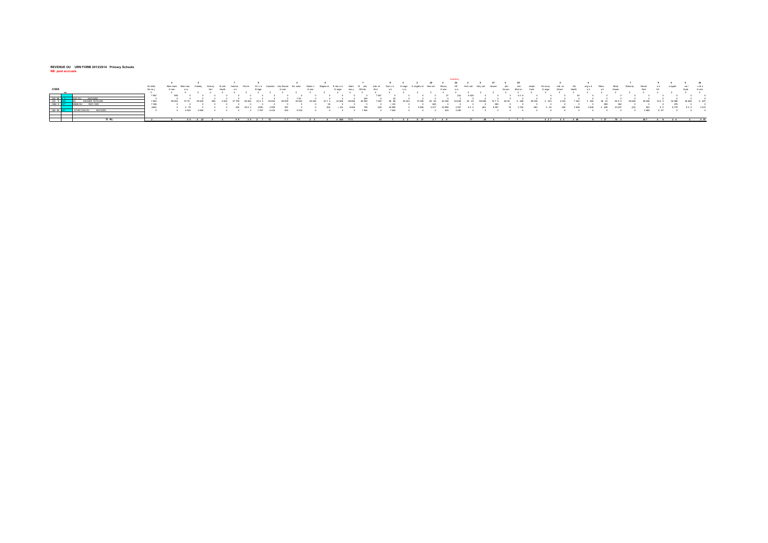### **REVENUE OU URN FORM 2013/2014 Primary Schools NB post accruals**

|        |             | Hill jelds |        | Alde mans Alde moo |             |      |       |     |        |      |       |       |            | riham Si ank ede.ck |                             | Gos o d | Gange Gangehust Heasal |      | Heney   |         | Ho b ook | Holly ast | Howes<br>ohn |              | ohn oseph  | Ke es ey | imb ck | i tie | ong o d    | Mano      |        | Mount  |  |        | o te s       |
|--------|-------------|------------|--------|--------------------|-------------|------|-------|-----|--------|------|-------|-------|------------|---------------------|-----------------------------|---------|------------------------|------|---------|---------|----------|-----------|--------------|--------------|------------|----------|--------|-------|------------|-----------|--------|--------|--|--------|--------------|
| CODE   |             | Nu se v    | G een  | $a$ m              |             | Hall | Heath | ak. | B idge | Geen |       | G een |            |                     | Gange imay Whitle Bid ak am |         |                        |      | Geen am |         |          |           |              | Guson Shelon | Cash       | G ange   | Wood   | Heath | <b>COL</b> | a k House |        | Nod HI |  | Hurlip | G een        |
|        |             |            |        |                    |             |      |       |     |        |      |       |       |            |                     |                             |         |                        |      |         |         |          |           |              |              |            |          |        |       |            |           |        |        |  |        |              |
|        |             | 7.967      |        |                    |             |      |       |     |        |      |       |       |            |                     |                             |         |                        |      |         |         |          |           |              |              | <b>839</b> |          |        |       |            |           |        |        |  |        |              |
|        |             |            |        |                    |             |      |       |     |        |      |       |       |            |                     |                             |         |                        |      |         |         |          |           |              |              |            |          |        |       |            |           |        |        |  |        |              |
|        |             | 7863       | 80 653 |                    |             |      |       |     |        |      |       |       |            |                     |                             |         |                        |      |         |         |          |           |              |              |            |          |        |       |            |           |        |        |  |        | 48 FDR 6 427 |
|        |             |            |        |                    |             |      |       |     |        |      |       |       |            |                     |                             |         |                        |      |         |         |          |           |              |              |            |          |        |       |            |           |        |        |  |        |              |
|        |             | (652)      |        | 4 79               |             |      |       |     |        |      |       |       | <b>SSA</b> |                     |                             | 22 892  |                        | 4477 | 23 989  | 4 5 0 7 |          | (60)      |              |              |            | 963      |        |       |            | 4 528     | 23 207 |        |  | 645.   |              |
| 066 SE |             |            |        |                    | 0 5483 0892 |      |       |     | 6.434  | 200  | 0.433 |       |            |                     |                             | 7.644   |                        |      |         |         |          |           |              |              |            |          |        |       |            |           |        |        |  |        |              |
|        |             |            |        |                    |             |      |       |     |        |      |       |       |            |                     |                             |         |                        |      |         |         |          |           |              |              |            |          |        |       |            |           |        |        |  |        |              |
|        |             |            |        |                    |             |      |       |     |        |      |       |       |            |                     |                             |         |                        |      |         |         |          |           |              |              |            |          |        |       |            |           |        |        |  |        |              |
|        | <b>O AL</b> |            |        |                    |             |      |       |     |        |      |       |       |            |                     |                             |         |                        |      |         |         |          |           |              |              |            |          |        |       |            |           |        |        |  |        |              |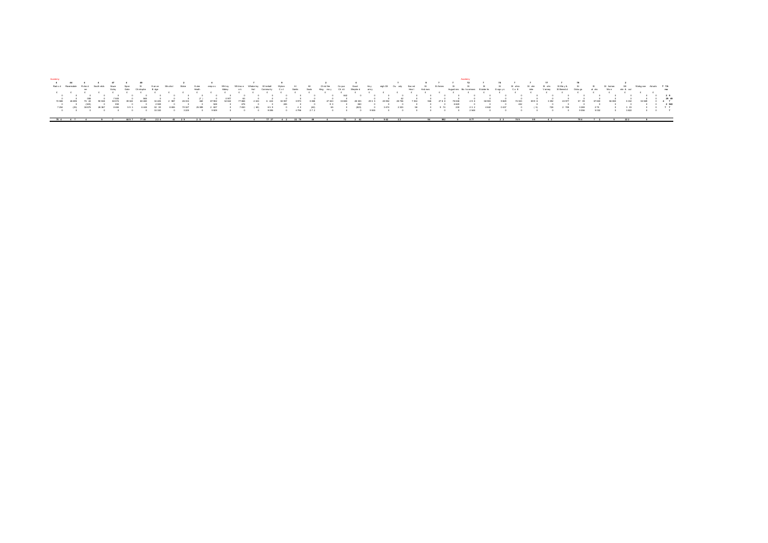|        |     | Radio d Ravensdale Rchaid Southields Sowe Spon St Sanion |                             |           |          |  |       |       |     |               |       |      |                                   |           |        |             |          |           |     |                      |      |                                                                                                                                                                                                                                                                                                  |        |         |     |         | empais Whtey Whitmoe Whobeley Wienhall Wyken Al All Chistthe Copus Good Hoy eighCE Outedy Saced St StAnnes St St St St St Stohns Stohn Stohn Sthay& St St Sthonnas SS Walegawe Adusts TTA |  |      |  |             |
|--------|-----|----------------------------------------------------------|-----------------------------|-----------|----------|--|-------|-------|-----|---------------|-------|------|-----------------------------------|-----------|--------|-------------|----------|-----------|-----|----------------------|------|--------------------------------------------------------------------------------------------------------------------------------------------------------------------------------------------------------------------------------------------------------------------------------------------------|--------|---------|-----|---------|-------------------------------------------------------------------------------------------------------------------------------------------------------------------------------------------|--|------|--|-------------|
|        |     | $-60$                                                    | Valley Gate Chistophe Bidge |           |          |  | Heath |       |     |               |       |      |                                   |           |        |             |          |           |     |                      |      |                                                                                                                                                                                                                                                                                                  |        |         |     |         | Augustnes Ba hoomews Eizabeihs Gegorys Co.E. ishe Vanney StBenedict Osbuigs atclus Mole eta-& aul                                                                                         |  |      |  |             |
|        |     |                                                          |                             |           |          |  |       |       |     |               |       |      |                                   |           |        |             |          |           |     |                      |      |                                                                                                                                                                                                                                                                                                  |        |         |     |         |                                                                                                                                                                                           |  |      |  |             |
|        |     |                                                          |                             |           |          |  |       |       |     |               |       |      | $\mathfrak{a}$ and $\mathfrak{a}$ | 0.842     |        |             |          | a a a a a |     |                      |      | $\mathbb{R}$ and $\mathbb{R}$ and $\mathbb{R}$ and $\mathbb{R}$ and $\mathbb{R}$ and $\mathbb{R}$ and $\mathbb{R}$ and $\mathbb{R}$ and $\mathbb{R}$ and $\mathbb{R}$ and $\mathbb{R}$ and $\mathbb{R}$ and $\mathbb{R}$ and $\mathbb{R}$ and $\mathbb{R}$ and $\mathbb{R}$ and $\mathbb{R}$ and |        |         |     |         |                                                                                                                                                                                           |  |      |  | $0 \t 24$   |
|        | 008 |                                                          |                             |           |          |  |       |       |     |               |       |      |                                   |           |        |             |          |           |     |                      |      |                                                                                                                                                                                                                                                                                                  |        |         |     |         |                                                                                                                                                                                           |  |      |  | 29 49       |
| 72 588 |     |                                                          |                             |           |          |  |       |       |     | 6 424         | 53937 | 5973 | 0838                              |           |        |             |          |           | 946 |                      |      | 498                                                                                                                                                                                                                                                                                              | 58 903 | 9 8 2 9 |     | 8998    |                                                                                                                                                                                           |  | 5332 |  | $0 \t4 \t7$ |
|        |     |                                                          | 050                         |           |          |  |       | 528   | 478 |               | 245   |      |                                   | 9 0 0 550 |        |             |          |           |     | $\sim$ $\sim$ $\sim$ | 6620 |                                                                                                                                                                                                                                                                                                  |        |         | 432 |         |                                                                                                                                                                                           |  |      |  | 2 942       |
|        |     | 7 254 (25) 38 875 26 367                                 | 8 4 8 4                     |           | 593 6448 |  |       | 2 827 |     | 7830 (60) 659 |       |      | 40(60)                            | 65 0 8231 |        | 0 3474 2303 |          |           |     |                      |      | 58 0 9 74 230 232 4 642                                                                                                                                                                                                                                                                          |        | 0.437   |     | $0$ (5) |                                                                                                                                                                                           |  |      |  |             |
|        |     |                                                          |                             |           |          |  |       |       |     | $0$ $0.085$   |       |      | 4796 272                          |           | 0.5565 |             |          |           |     |                      |      | $0 \qquad \qquad 0 \qquad \qquad 2548$                                                                                                                                                                                                                                                           |        |         |     |         |                                                                                                                                                                                           |  |      |  |             |
|        |     |                                                          |                             |           |          |  |       |       |     |               |       |      |                                   |           |        |             |          |           |     |                      |      |                                                                                                                                                                                                                                                                                                  |        |         |     |         |                                                                                                                                                                                           |  |      |  |             |
|        |     |                                                          |                             | 4497 7749 |          |  |       |       |     |               |       |      |                                   |           | 242    |             | $942$ 22 |           |     |                      |      |                                                                                                                                                                                                                                                                                                  |        |         |     |         |                                                                                                                                                                                           |  |      |  |             |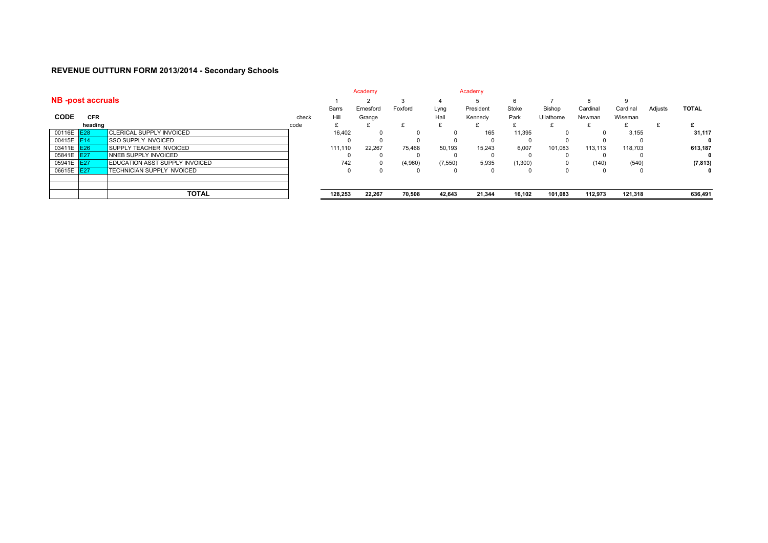# **REVENUE OUTTURN FORM 2013/2014 - Secondary Schools**

|                          |            |                                |       |         | Academy      |         |          | Academy   |         |            |          |          |         |              |
|--------------------------|------------|--------------------------------|-------|---------|--------------|---------|----------|-----------|---------|------------|----------|----------|---------|--------------|
| <b>NB</b> -post accruals |            |                                |       |         |              |         |          |           | 6       |            |          | 9        |         |              |
|                          |            |                                |       | Barrs   | Ernesford    | Foxford | Lyng     | President | Stoke   | Bishop     | Cardinal | Cardinal | Adjusts | <b>TOTAL</b> |
| <b>CODE</b>              | <b>CFR</b> |                                | check | Hill    | Grange       |         | Hall     | Kennedy   | Park    | Ullathorne | Newman   | Wiseman  |         |              |
|                          | heading    |                                | code  |         |              |         |          |           |         |            |          |          |         |              |
| 00116E <b>E28</b>        |            | CLERICAL SUPPLY INVOICED       |       | 16,402  | <sup>0</sup> |         |          | 165       | 11,395  |            | 0        | 3,155    |         | 31,117       |
| 00415E <b>E14</b>        |            | <b>SSO SUPPLY NVOICED</b>      |       |         |              |         |          |           |         |            |          |          |         |              |
| 03411E <b>E26</b>        |            | <b>SUPPLY TEACHER NVOICED</b>  |       | 111,110 | 22,267       | 75,468  | 50,193   | 15,243    | 6,007   | 101,083    | 113,113  | 118,703  |         | 613,187      |
| 05841E E27               |            | NNEB SUPPLY INVOICED           |       |         |              |         |          |           |         |            |          |          |         |              |
| 05941E <b>E27</b>        |            | EDUCATION ASST SUPPLY INVOICED |       | 742     | 0            | (4,960) | (7, 550) | 5,935     | (1,300) |            | (140)    | (540)    |         | (7, 813)     |
| 06615E <b>E27</b>        |            | TECHNICIAN SUPPLY NVOICED      |       |         |              |         |          |           |         |            | 0        |          |         |              |
|                          |            |                                |       |         |              |         |          |           |         |            |          |          |         |              |
|                          |            |                                |       |         |              |         |          |           |         |            |          |          |         |              |
|                          |            | <b>TOTAL</b>                   |       | 128,253 | 22,267       | 70,508  | 42,643   | 21,344    | 16,102  | 101,083    | 112,973  | 121,318  |         | 636,491      |
|                          |            |                                |       |         |              |         |          |           |         |            |          |          |         |              |